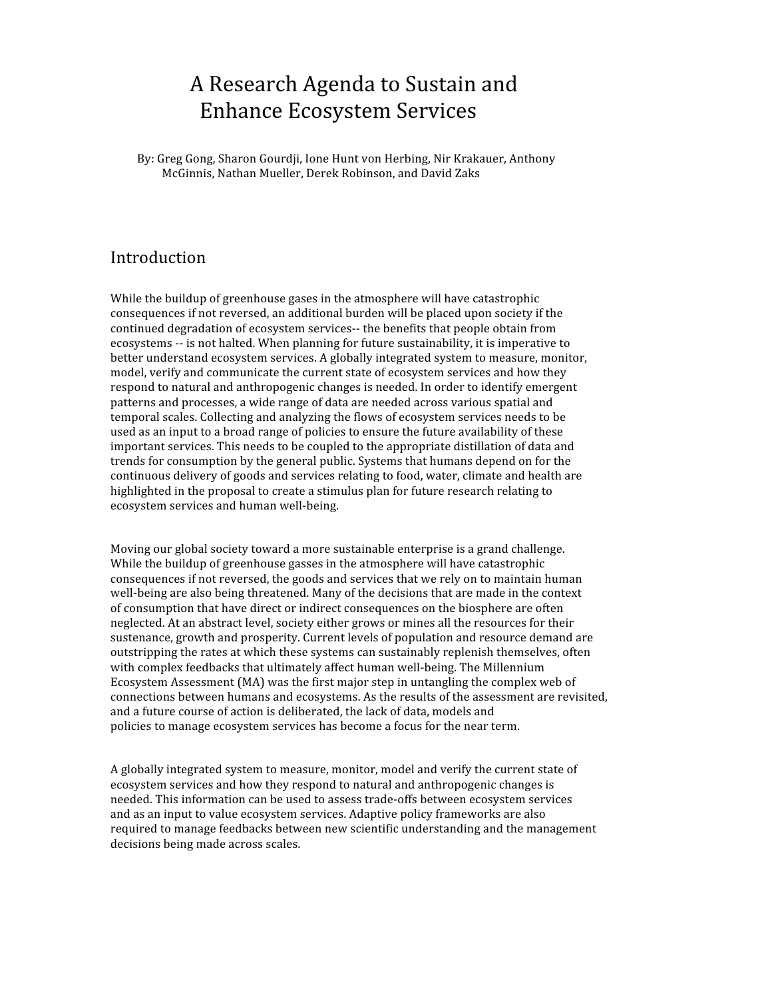# A Research Agenda to Sustain and Enhance Ecosystem Services

By: Greg Gong, Sharon Gourdji, Ione Hunt von Herbing, Nir Krakauer, Anthony McGinnis, Nathan Mueller, Derek Robinson, and David Zaks

## Introduction

While the buildup of greenhouse gases in the atmosphere will have catastrophic consequences if not reversed, an additional burden will be placed upon society if the continued degradation of ecosystem services‐‐ the benefits that people obtain from ecosystems ‐‐ is not halted. When planning for future sustainability, it is imperative to better understand ecosystem services. A globally integrated system to measure, monitor, model, verify and communicate the current state of ecosystem services and how they respond to natural and anthropogenic changes is needed. In order to identify emergent patterns and processes, a wide range of data are needed across various spatial and temporal scales. Collecting and analyzing the flows of ecosystem services needs to be used as an input to a broad range of policies to ensure the future availability of these important services. This needs to be coupled to the appropriate distillation of data and trends for consumption by the general public. Systems that humans depend on for the continuous delivery of goods and services relating to food, water, climate and health are highlighted in the proposal to create a stimulus plan for future research relating to ecosystem services and human well‐being.

Moving our global society toward a more sustainable enterprise is a grand challenge. While the buildup of greenhouse gasses in the atmosphere will have catastrophic consequences if not reversed, the goods and services that we rely on to maintain human well-being are also being threatened. Many of the decisions that are made in the context of consumption that have direct or indirect consequences on the biosphere are often neglected. At an abstract level, society either grows or mines all the resources for their sustenance, growth and prosperity. Current levels of population and resource demand are outstripping the rates at which these systems can sustainably replenish themselves, often with complex feedbacks that ultimately affect human well-being. The Millennium Ecosystem Assessment (MA) was the first major step in untangling the complex web of connections between humans and ecosystems. As the results of the assessment are revisited, and a future course of action is deliberated, the lack of data, models and policies to manage ecosystem services has become a focus for the near term.

A globally integrated system to measure, monitor, model and verify the current state of ecosystem services and how they respond to natural and anthropogenic changes is needed. This information can be used to assess trade‐offs between ecosystem services and as an input to value ecosystem services. Adaptive policy frameworks are also required to manage feedbacks between new scientific understanding and the management decisions being made across scales.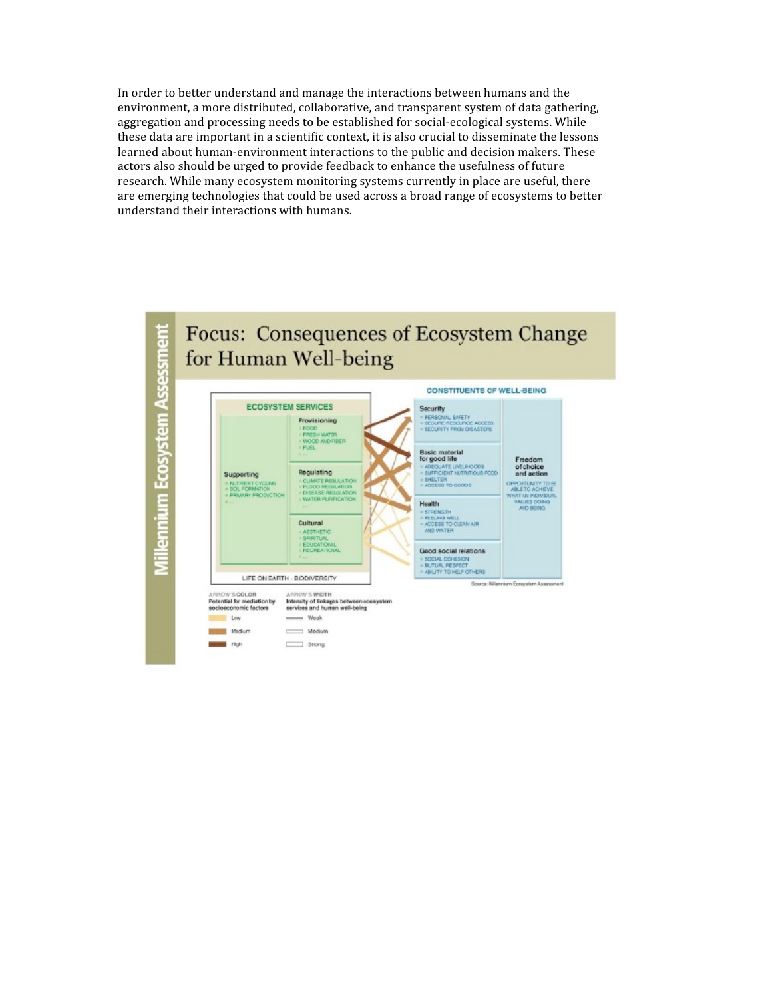In order to better understand and manage the interactions between humans and the environment, a more distributed, collaborative, and transparent system of data gathering, aggregation and processing needs to be established for social‐ecological systems. While these data are important in a scientific context, it is also crucial to disseminate the lessons learned about human-environment interactions to the public and decision makers. These actors also should be urged to provide feedback to enhance the usefulness of future research. While many ecosystem monitoring systems currently in place are useful, there are emerging technologies that could be used across a broad range of ecosystems to better understand their interactions with humans.

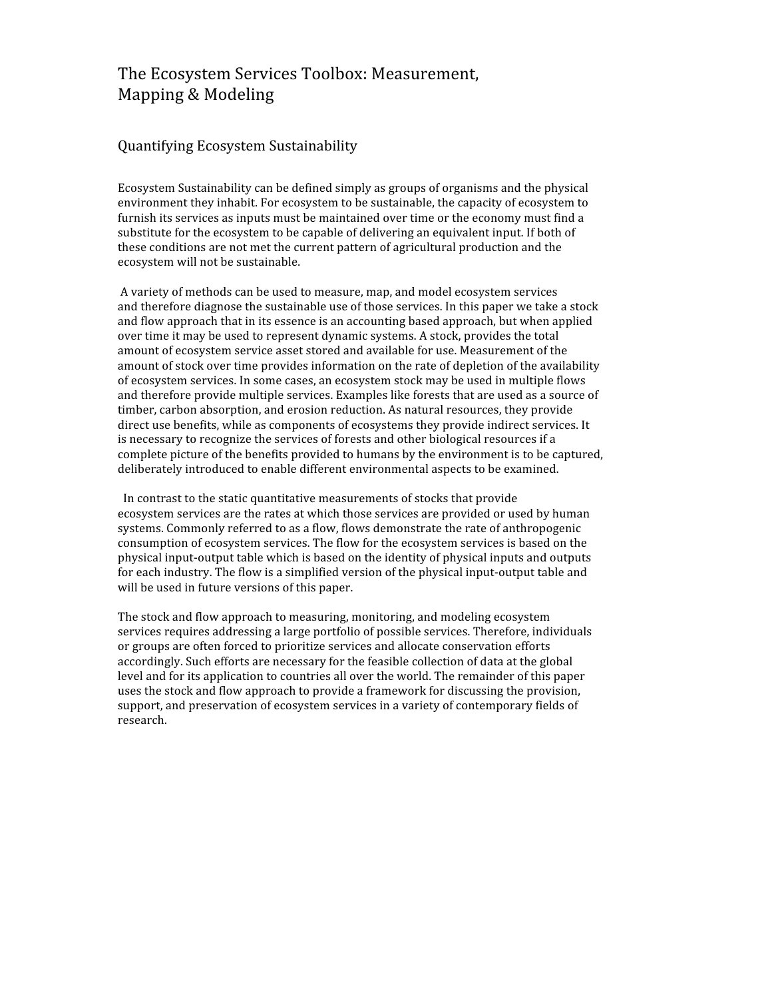# The Ecosystem Services Toolbox: Measurement, Mapping & Modeling

### Quantifying Ecosystem Sustainability

Ecosystem Sustainability can be defined simply as groups of organisms and the physical environment they inhabit. For ecosystem to be sustainable, the capacity of ecosystem to furnish its services as inputs must be maintained over time or the economy must find a substitute for the ecosystem to be capable of delivering an equivalent input. If both of these conditions are not met the current pattern of agricultural production and the ecosystem will not be sustainable.

A variety of methods can be used to measure, map, and model ecosystem services and therefore diagnose the sustainable use of those services. In this paper we take a stock and flow approach that in its essence is an accounting based approach, but when applied over time it may be used to represent dynamic systems. A stock, provides the total amount of ecosystem service asset stored and available for use. Measurement of the amount of stock over time provides information on the rate of depletion of the availability of ecosystem services. In some cases, an ecosystem stock may be used in multiple flows and therefore provide multiple services. Examples like forests that are used as a source of timber, carbon absorption, and erosion reduction. As natural resources, they provide direct use benefits, while as components of ecosystems they provide indirect services. It is necessary to recognize the services of forests and other biological resources if a complete picture of the benefits provided to humans by the environment is to be captured, deliberately introduced to enable different environmental aspects to be examined.

 In contrast to the static quantitative measurements of stocks that provide ecosystem services are the rates at which those services are provided or used by human systems. Commonly referred to as a flow, flows demonstrate the rate of anthropogenic consumption of ecosystem services. The flow for the ecosystem services is based on the physical input‐output table which is based on the identity of physical inputs and outputs for each industry. The flow is a simplified version of the physical input‐output table and will be used in future versions of this paper.

The stock and flow approach to measuring, monitoring, and modeling ecosystem services requires addressing a large portfolio of possible services. Therefore, individuals or groups are often forced to prioritize services and allocate conservation efforts accordingly. Such efforts are necessary for the feasible collection of data at the global level and for its application to countries all over the world. The remainder of this paper uses the stock and flow approach to provide a framework for discussing the provision, support, and preservation of ecosystem services in a variety of contemporary fields of research.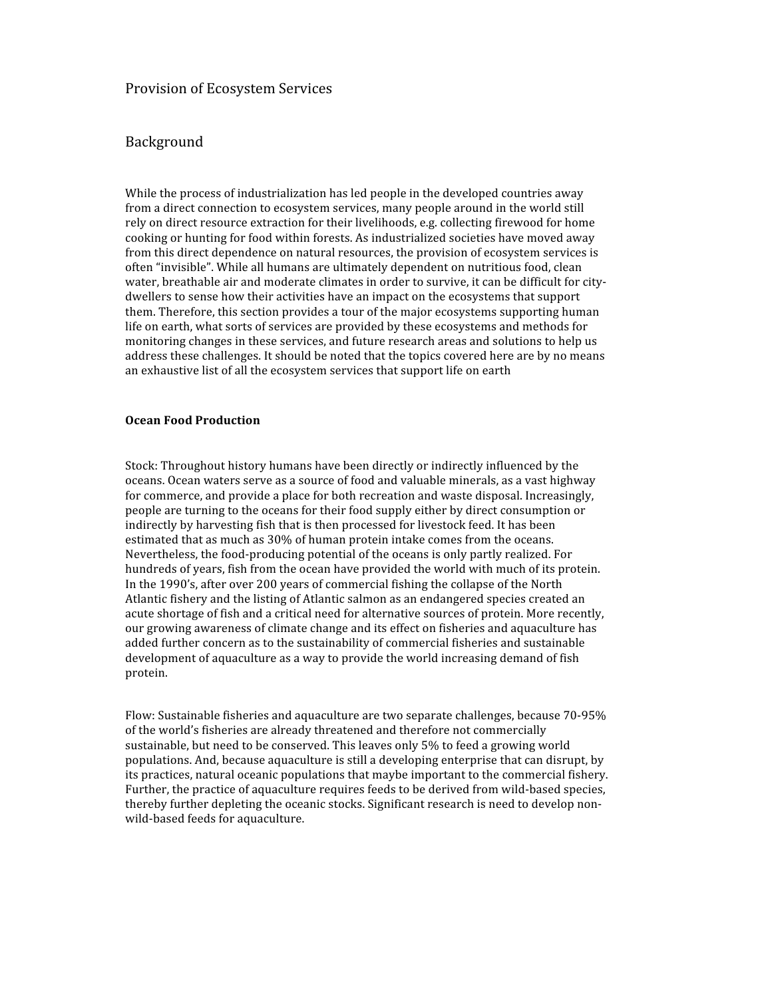#### Provision of Ecosystem Services

#### Background

While the process of industrialization has led people in the developed countries away from a direct connection to ecosystem services, many people around in the world still rely on direct resource extraction for their livelihoods, e.g. collecting firewood for home cooking or hunting for food within forests. As industrialized societies have moved away from this direct dependence on natural resources, the provision of ecosystem services is often "invisible". While all humans are ultimately dependent on nutritious food, clean water, breathable air and moderate climates in order to survive, it can be difficult for citydwellers to sense how their activities have an impact on the ecosystems that support them. Therefore, this section provides a tour of the major ecosystems supporting human life on earth, what sorts of services are provided by these ecosystems and methods for monitoring changes in these services, and future research areas and solutions to help us address these challenges. It should be noted that the topics covered here are by no means an exhaustive list of all the ecosystem services that support life on earth

#### **Ocean Food Production**

Stock: Throughout history humans have been directly or indirectly influenced by the oceans. Ocean waters serve as a source of food and valuable minerals, as a vast highway for commerce, and provide a place for both recreation and waste disposal. Increasingly, people are turning to the oceans for their food supply either by direct consumption or indirectly by harvesting fish that is then processed for livestock feed. It has been estimated that as much as 30% of human protein intake comes from the oceans. Nevertheless, the food‐producing potential of the oceans is only partly realized. For hundreds of years, fish from the ocean have provided the world with much of its protein. In the 1990's, after over 200 years of commercial fishing the collapse of the North Atlantic fishery and the listing of Atlantic salmon as an endangered species created an acute shortage of fish and a critical need for alternative sources of protein. More recently, our growing awareness of climate change and its effect on fisheries and aquaculture has added further concern as to the sustainability of commercial fisheries and sustainable development of aquaculture as a way to provide the world increasing demand of fish protein.

Flow: Sustainable fisheries and aquaculture are two separate challenges, because 70‐95% of the world's fisheries are already threatened and therefore not commercially sustainable, but need to be conserved. This leaves only 5% to feed a growing world populations. And, because aquaculture is still a developing enterprise that can disrupt, by its practices, natural oceanic populations that maybe important to the commercial fishery. Further, the practice of aquaculture requires feeds to be derived from wild-based species, thereby further depleting the oceanic stocks. Significant research is need to develop nonwild‐based feeds for aquaculture.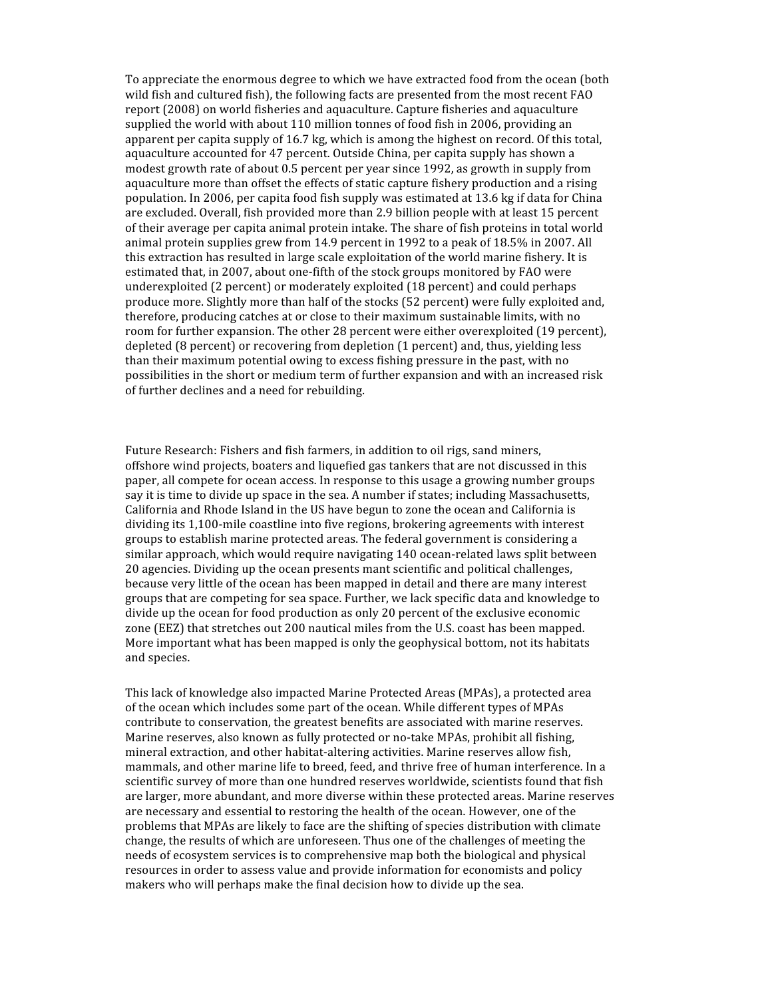To appreciate the enormous degree to which we have extracted food from the ocean (both wild fish and cultured fish), the following facts are presented from the most recent FAO report (2008) on world fisheries and aquaculture. Capture fisheries and aquaculture supplied the world with about 110 million tonnes of food fish in 2006, providing an apparent per capita supply of 16.7 kg, which is among the highest on record. Of this total, aquaculture accounted for 47 percent. Outside China, per capita supply has shown a modest growth rate of about 0.5 percent per year since 1992, as growth in supply from aquaculture more than offset the effects of static capture fishery production and a rising population. In 2006, per capita food fish supply was estimated at 13.6 kg if data for China are excluded. Overall, fish provided more than 2.9 billion people with at least 15 percent of their average per capita animal protein intake. The share of fish proteins in total world animal protein supplies grew from 14.9 percent in 1992 to a peak of 18.5% in 2007. All this extraction has resulted in large scale exploitation of the world marine fishery. It is estimated that, in 2007, about one‐fifth of the stock groups monitored by FAO were underexploited (2 percent) or moderately exploited (18 percent) and could perhaps produce more. Slightly more than half of the stocks (52 percent) were fully exploited and, therefore, producing catches at or close to their maximum sustainable limits, with no room for further expansion. The other 28 percent were either overexploited (19 percent), depleted (8 percent) or recovering from depletion (1 percent) and, thus, yielding less than their maximum potential owing to excess fishing pressure in the past, with no possibilities in the short or medium term of further expansion and with an increased risk of further declines and a need for rebuilding.

Future Research: Fishers and fish farmers, in addition to oil rigs, sand miners, offshore wind projects, boaters and liquefied gas tankers that are not discussed in this paper, all compete for ocean access. In response to this usage a growing number groups say it is time to divide up space in the sea. A number if states; including Massachusetts, California and Rhode Island in the US have begun to zone the ocean and California is dividing its 1,100‐mile coastline into five regions, brokering agreements with interest groups to establish marine protected areas. The federal government is considering a similar approach, which would require navigating 140 ocean-related laws split between 20 agencies. Dividing up the ocean presents mant scientific and political challenges, because very little of the ocean has been mapped in detail and there are many interest groups that are competing for sea space. Further, we lack specific data and knowledge to divide up the ocean for food production as only 20 percent of the exclusive economic zone (EEZ) that stretches out 200 nautical miles from the U.S. coast has been mapped. More important what has been mapped is only the geophysical bottom, not its habitats and species.

This lack of knowledge also impacted Marine Protected Areas (MPAs), a protected area of the ocean which includes some part of the ocean. While different types of MPAs contribute to conservation, the greatest benefits are associated with marine reserves. Marine reserves, also known as fully protected or no-take MPAs, prohibit all fishing, mineral extraction, and other habitat‐altering activities. Marine reserves allow fish, mammals, and other marine life to breed, feed, and thrive free of human interference. In a scientific survey of more than one hundred reserves worldwide, scientists found that fish are larger, more abundant, and more diverse within these protected areas. Marine reserves are necessary and essential to restoring the health of the ocean. However, one of the problems that MPAs are likely to face are the shifting of species distribution with climate change, the results of which are unforeseen. Thus one of the challenges of meeting the needs of ecosystem services is to comprehensive map both the biological and physical resources in order to assess value and provide information for economists and policy makers who will perhaps make the final decision how to divide up the sea.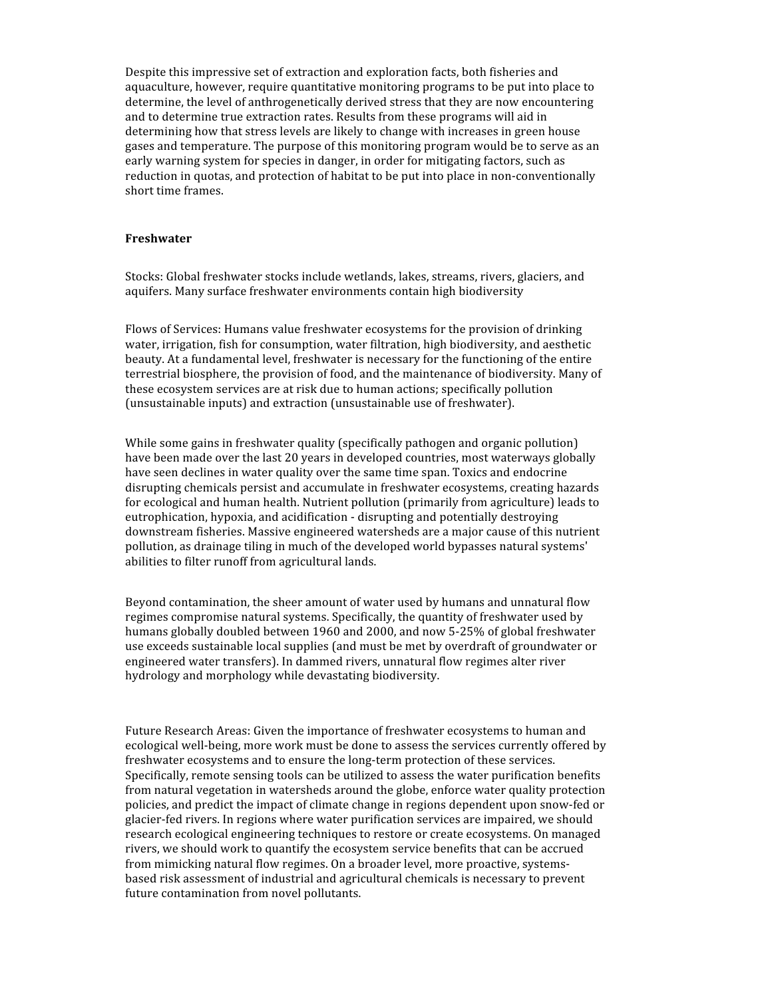Despite this impressive set of extraction and exploration facts, both fisheries and aquaculture, however, require quantitative monitoring programs to be put into place to determine, the level of anthrogenetically derived stress that they are now encountering and to determine true extraction rates. Results from these programs will aid in determining how that stress levels are likely to change with increases in green house gases and temperature. The purpose of this monitoring program would be to serve as an early warning system for species in danger, in order for mitigating factors, such as reduction in quotas, and protection of habitat to be put into place in non-conventionally short time frames.

#### **Freshwater**

Stocks: Global freshwater stocks include wetlands, lakes, streams, rivers, glaciers, and aquifers. Many surface freshwater environments contain high biodiversity

Flows of Services: Humans value freshwater ecosystems for the provision of drinking water, irrigation, fish for consumption, water filtration, high biodiversity, and aesthetic beauty. At a fundamental level, freshwater is necessary for the functioning of the entire terrestrial biosphere, the provision of food, and the maintenance of biodiversity. Many of these ecosystem services are at risk due to human actions; specifically pollution (unsustainable inputs) and extraction (unsustainable use of freshwater).

While some gains in freshwater quality (specifically pathogen and organic pollution) have been made over the last 20 years in developed countries, most waterways globally have seen declines in water quality over the same time span. Toxics and endocrine disrupting chemicals persist and accumulate in freshwater ecosystems, creating hazards for ecological and human health. Nutrient pollution (primarily from agriculture) leads to eutrophication, hypoxia, and acidification ‐ disrupting and potentially destroying downstream fisheries. Massive engineered watersheds are a major cause of this nutrient pollution, as drainage tiling in much of the developed world bypasses natural systems' abilities to filter runoff from agricultural lands.

Beyond contamination, the sheer amount of water used by humans and unnatural flow regimes compromise natural systems. Specifically, the quantity of freshwater used by humans globally doubled between 1960 and 2000, and now 5‐25% of global freshwater use exceeds sustainable local supplies (and must be met by overdraft of groundwater or engineered water transfers). In dammed rivers, unnatural flow regimes alter river hydrology and morphology while devastating biodiversity.

Future Research Areas: Given the importance of freshwater ecosystems to human and ecological well‐being, more work must be done to assess the services currently offered by freshwater ecosystems and to ensure the long-term protection of these services. Specifically, remote sensing tools can be utilized to assess the water purification benefits from natural vegetation in watersheds around the globe, enforce water quality protection policies, and predict the impact of climate change in regions dependent upon snow‐fed or glacier‐fed rivers. In regions where water purification services are impaired, we should research ecological engineering techniques to restore or create ecosystems. On managed rivers, we should work to quantify the ecosystem service benefits that can be accrued from mimicking natural flow regimes. On a broader level, more proactive, systems‐ based risk assessment of industrial and agricultural chemicals is necessary to prevent future contamination from novel pollutants.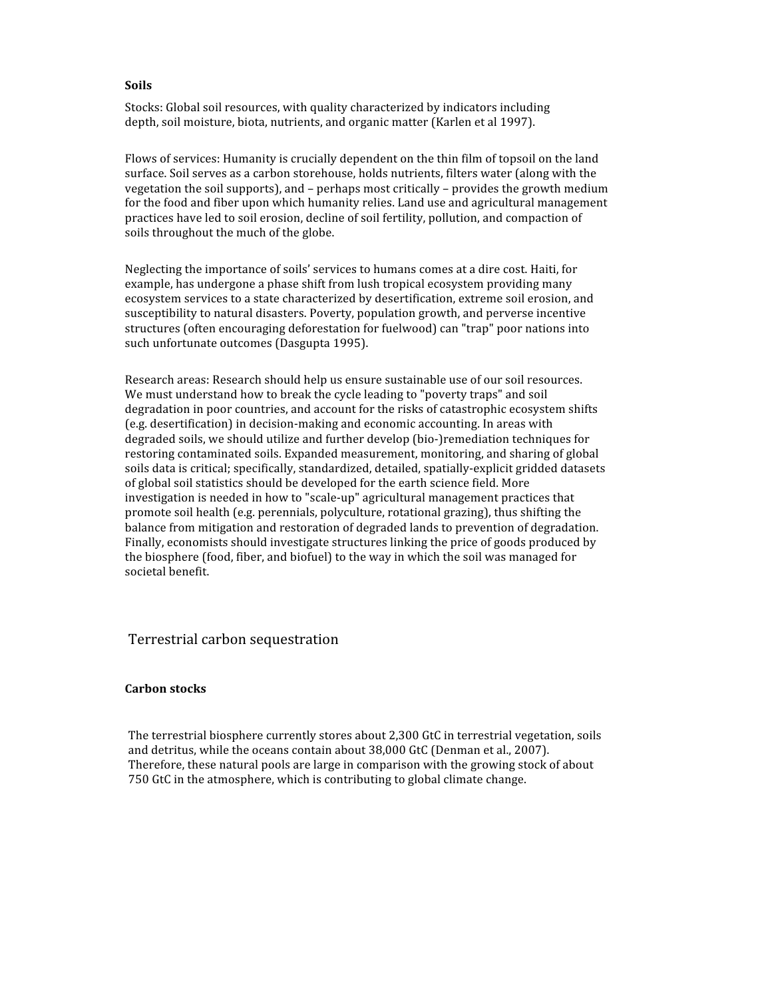#### **Soils**

Stocks: Global soil resources, with quality characterized by indicators including depth, soil moisture, biota, nutrients, and organic matter (Karlen et al 1997).

Flows of services: Humanity is crucially dependent on the thin film of topsoil on the land surface. Soil serves as a carbon storehouse, holds nutrients, filters water (along with the vegetation the soil supports), and – perhaps most critically – provides the growth medium for the food and fiber upon which humanity relies. Land use and agricultural management practices have led to soil erosion, decline of soil fertility, pollution, and compaction of soils throughout the much of the globe.

Neglecting the importance of soils' services to humans comes at a dire cost. Haiti, for example, has undergone a phase shift from lush tropical ecosystem providing many ecosystem services to a state characterized by desertification, extreme soil erosion, and susceptibility to natural disasters. Poverty, population growth, and perverse incentive structures (often encouraging deforestation for fuelwood) can "trap" poor nations into such unfortunate outcomes (Dasgupta 1995).

Research areas: Research should help us ensure sustainable use of our soil resources. We must understand how to break the cycle leading to "poverty traps" and soil degradation in poor countries, and account for the risks of catastrophic ecosystem shifts (e.g. desertification) in decision‐making and economic accounting. In areas with degraded soils, we should utilize and further develop (bio‐)remediation techniques for restoring contaminated soils. Expanded measurement, monitoring, and sharing of global soils data is critical; specifically, standardized, detailed, spatially‐explicit gridded datasets of global soil statistics should be developed for the earth science field. More investigation is needed in how to "scale‐up" agricultural management practices that promote soil health (e.g. perennials, polyculture, rotational grazing), thus shifting the balance from mitigation and restoration of degraded lands to prevention of degradation. Finally, economists should investigate structures linking the price of goods produced by the biosphere (food, fiber, and biofuel) to the way in which the soil was managed for societal benefit.

#### Terrestrial carbon sequestration

#### **Carbon stocks**

The terrestrial biosphere currently stores about 2,300 GtC in terrestrial vegetation, soils and detritus, while the oceans contain about 38,000 GtC (Denman et al., 2007). Therefore, these natural pools are large in comparison with the growing stock of about 750 GtC in the atmosphere, which is contributing to global climate change.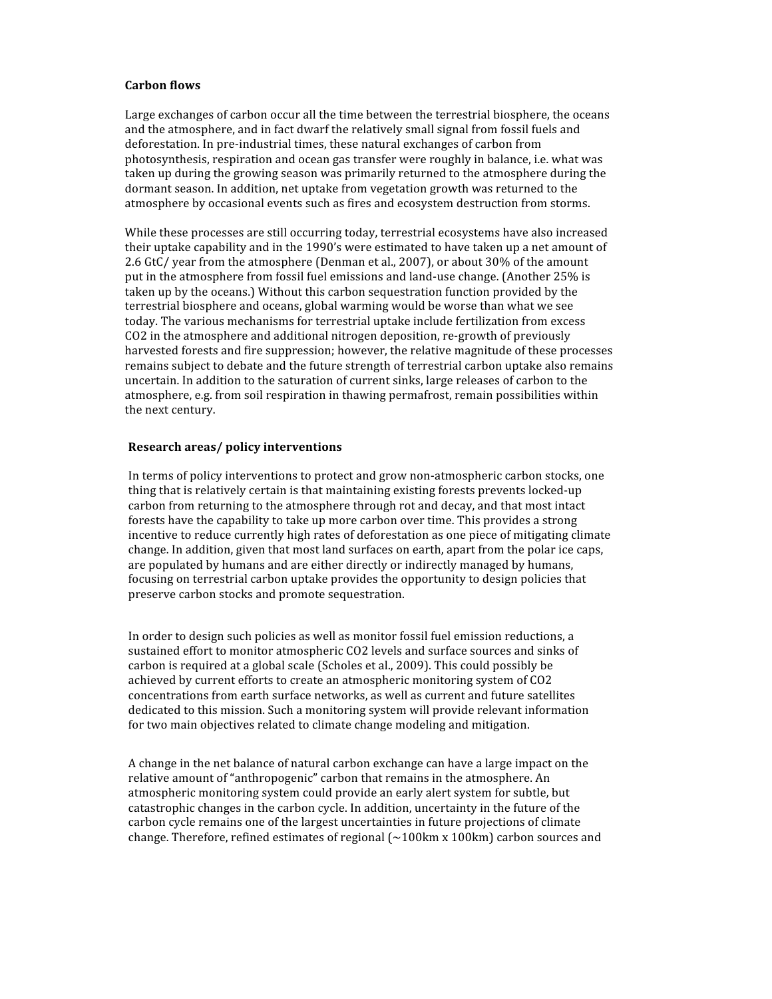#### **Carbon flows**

Large exchanges of carbon occur all the time between the terrestrial biosphere, the oceans and the atmosphere, and in fact dwarf the relatively small signal from fossil fuels and deforestation. In pre‐industrial times, these natural exchanges of carbon from photosynthesis, respiration and ocean gas transfer were roughly in balance, i.e. what was taken up during the growing season was primarily returned to the atmosphere during the dormant season. In addition, net uptake from vegetation growth was returned to the atmosphere by occasional events such as fires and ecosystem destruction from storms.

While these processes are still occurring today, terrestrial ecosystems have also increased their uptake capability and in the 1990's were estimated to have taken up a net amount of 2.6 GtC/ year from the atmosphere (Denman et al., 2007), or about 30% of the amount put in the atmosphere from fossil fuel emissions and land‐use change. (Another 25% is taken up by the oceans.) Without this carbon sequestration function provided by the terrestrial biosphere and oceans, global warming would be worse than what we see today. The various mechanisms for terrestrial uptake include fertilization from excess CO2 in the atmosphere and additional nitrogen deposition, re‐growth of previously harvested forests and fire suppression; however, the relative magnitude of these processes remains subject to debate and the future strength of terrestrial carbon uptake also remains uncertain. In addition to the saturation of current sinks, large releases of carbon to the atmosphere, e.g. from soil respiration in thawing permafrost, remain possibilities within the next century.

#### **Research areas/ policy interventions**

In terms of policy interventions to protect and grow non‐atmospheric carbon stocks, one thing that is relatively certain is that maintaining existing forests prevents locked‐up carbon from returning to the atmosphere through rot and decay, and that most intact forests have the capability to take up more carbon over time. This provides a strong incentive to reduce currently high rates of deforestation as one piece of mitigating climate change. In addition, given that most land surfaces on earth, apart from the polar ice caps, are populated by humans and are either directly or indirectly managed by humans, focusing on terrestrial carbon uptake provides the opportunity to design policies that preserve carbon stocks and promote sequestration.

In order to design such policies as well as monitor fossil fuel emission reductions, a sustained effort to monitor atmospheric CO2 levels and surface sources and sinks of carbon is required at a global scale (Scholes et al., 2009). This could possibly be achieved by current efforts to create an atmospheric monitoring system of CO2 concentrations from earth surface networks, as well as current and future satellites dedicated to this mission. Such a monitoring system will provide relevant information for two main objectives related to climate change modeling and mitigation.

A change in the net balance of natural carbon exchange can have a large impact on the relative amount of "anthropogenic" carbon that remains in the atmosphere. An atmospheric monitoring system could provide an early alert system for subtle, but catastrophic changes in the carbon cycle. In addition, uncertainty in the future of the carbon cycle remains one of the largest uncertainties in future projections of climate change. Therefore, refined estimates of regional  $\left(\sim\!100 \text{km} \times 100 \text{km}\right)$  carbon sources and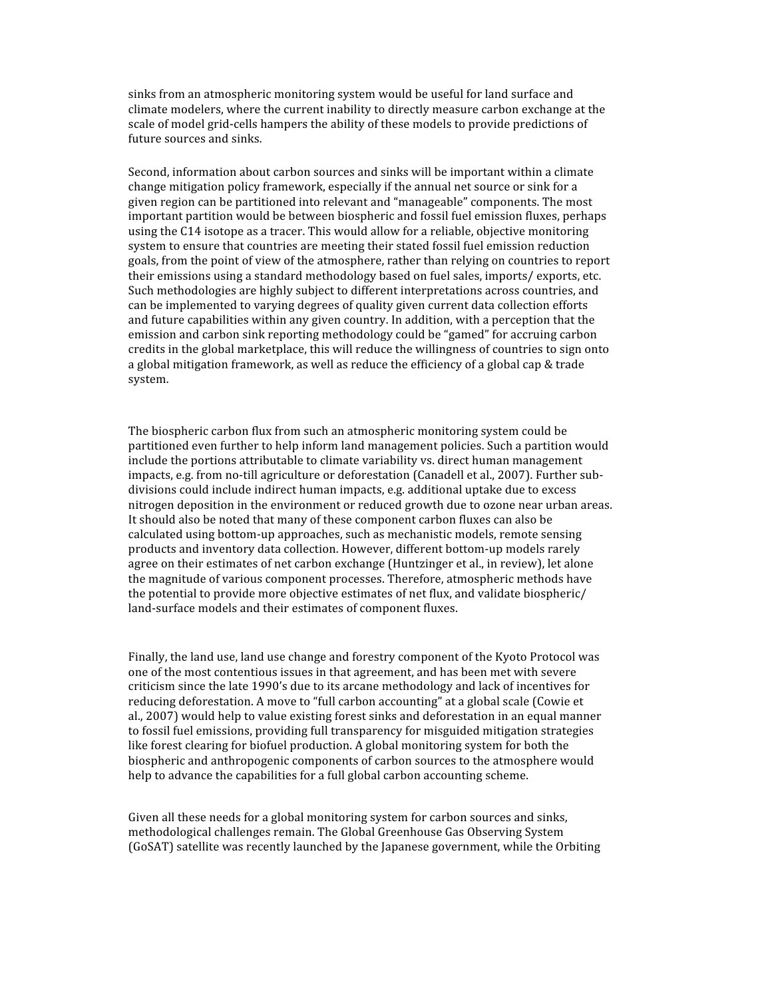sinks from an atmospheric monitoring system would be useful for land surface and climate modelers, where the current inability to directly measure carbon exchange at the scale of model grid-cells hampers the ability of these models to provide predictions of future sources and sinks.

Second, information about carbon sources and sinks will be important within a climate change mitigation policy framework, especially if the annual net source or sink for a given region can be partitioned into relevant and "manageable" components. The most important partition would be between biospheric and fossil fuel emission fluxes, perhaps using the C14 isotope as a tracer. This would allow for a reliable, objective monitoring system to ensure that countries are meeting their stated fossil fuel emission reduction goals, from the point of view of the atmosphere, rather than relying on countries to report their emissions using a standard methodology based on fuel sales, imports/ exports, etc. Such methodologies are highly subject to different interpretations across countries, and can be implemented to varying degrees of quality given current data collection efforts and future capabilities within any given country. In addition, with a perception that the emission and carbon sink reporting methodology could be "gamed" for accruing carbon credits in the global marketplace, this will reduce the willingness of countries to sign onto a global mitigation framework, as well as reduce the efficiency of a global cap & trade system.

The biospheric carbon flux from such an atmospheric monitoring system could be partitioned even further to help inform land management policies. Such a partition would include the portions attributable to climate variability vs. direct human management impacts, e.g. from no-till agriculture or deforestation (Canadell et al., 2007). Further subdivisions could include indirect human impacts, e.g. additional uptake due to excess nitrogen deposition in the environment or reduced growth due to ozone near urban areas. It should also be noted that many of these component carbon fluxes can also be calculated using bottom‐up approaches, such as mechanistic models, remote sensing products and inventory data collection. However, different bottom-up models rarely agree on their estimates of net carbon exchange (Huntzinger et al., in review), let alone the magnitude of various component processes. Therefore, atmospheric methods have the potential to provide more objective estimates of net flux, and validate biospheric/ land‐surface models and their estimates of component fluxes.

Finally, the land use, land use change and forestry component of the Kyoto Protocol was one of the most contentious issues in that agreement, and has been met with severe criticism since the late 1990's due to its arcane methodology and lack of incentives for reducing deforestation. A move to "full carbon accounting" at a global scale (Cowie et al., 2007) would help to value existing forest sinks and deforestation in an equal manner to fossil fuel emissions, providing full transparency for misguided mitigation strategies like forest clearing for biofuel production. A global monitoring system for both the biospheric and anthropogenic components of carbon sources to the atmosphere would help to advance the capabilities for a full global carbon accounting scheme.

Given all these needs for a global monitoring system for carbon sources and sinks, methodological challenges remain. The Global Greenhouse Gas Observing System (GoSAT) satellite was recently launched by the Japanese government, while the Orbiting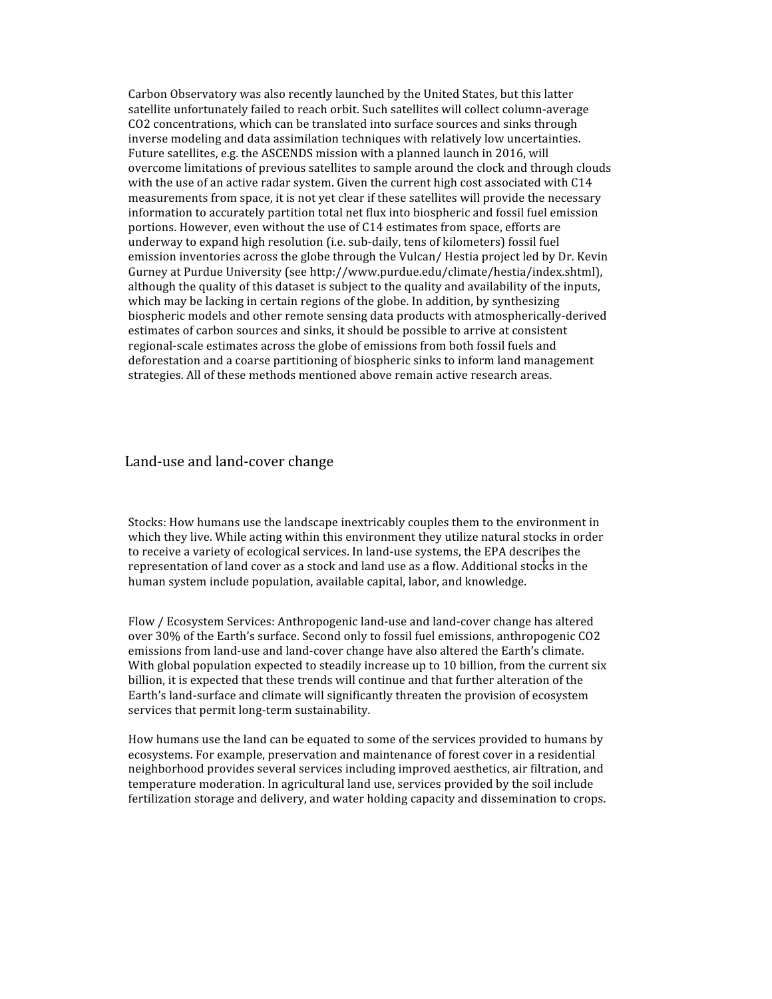Carbon Observatory was also recently launched by the United States, but this latter satellite unfortunately failed to reach orbit. Such satellites will collect column-average CO2 concentrations, which can be translated into surface sources and sinks through inverse modeling and data assimilation techniques with relatively low uncertainties. Future satellites, e.g. the ASCENDS mission with a planned launch in 2016, will overcome limitations of previous satellites to sample around the clock and through clouds with the use of an active radar system. Given the current high cost associated with C14 measurements from space, it is not yet clear if these satellites will provide the necessary information to accurately partition total net flux into biospheric and fossil fuel emission portions. However, even without the use of C14 estimates from space, efforts are underway to expand high resolution (i.e. sub‐daily, tens of kilometers) fossil fuel emission inventories across the globe through the Vulcan/ Hestia project led by Dr. Kevin Gurney at Purdue University (see http://www.purdue.edu/climate/hestia/index.shtml), although the quality of this dataset is subject to the quality and availability of the inputs, which may be lacking in certain regions of the globe. In addition, by synthesizing biospheric models and other remote sensing data products with atmospherically‐derived estimates of carbon sources and sinks, it should be possible to arrive at consistent regional‐scale estimates across the globe of emissions from both fossil fuels and deforestation and a coarse partitioning of biospheric sinks to inform land management strategies. All of these methods mentioned above remain active research areas.

#### Land‐use and land‐cover change

Stocks: How humans use the landscape inextricably couples them to the environment in which they live. While acting within this environment they utilize natural stocks in order to receive a variety of ecological services. In land‐use systems, the EPA describes the to receive a variety of ecological services. In failu-use systems, the EFA descripes the<br>representation of land cover as a stock and land use as a flow. Additional stocks in the human system include population, available capital, labor, and knowledge.

Flow / Ecosystem Services: Anthropogenic land‐use and land‐cover change has altered over 30% of the Earth's surface. Second only to fossil fuel emissions, anthropogenic CO2 emissions from land‐use and land‐cover change have also altered the Earth's climate. With global population expected to steadily increase up to 10 billion, from the current six billion, it is expected that these trends will continue and that further alteration of the Earth's land‐surface and climate will significantly threaten the provision of ecosystem services that permit long-term sustainability.

How humans use the land can be equated to some of the services provided to humans by ecosystems. For example, preservation and maintenance of forest cover in a residential neighborhood provides several services including improved aesthetics, air filtration, and temperature moderation. In agricultural land use, services provided by the soil include fertilization storage and delivery, and water holding capacity and dissemination to crops.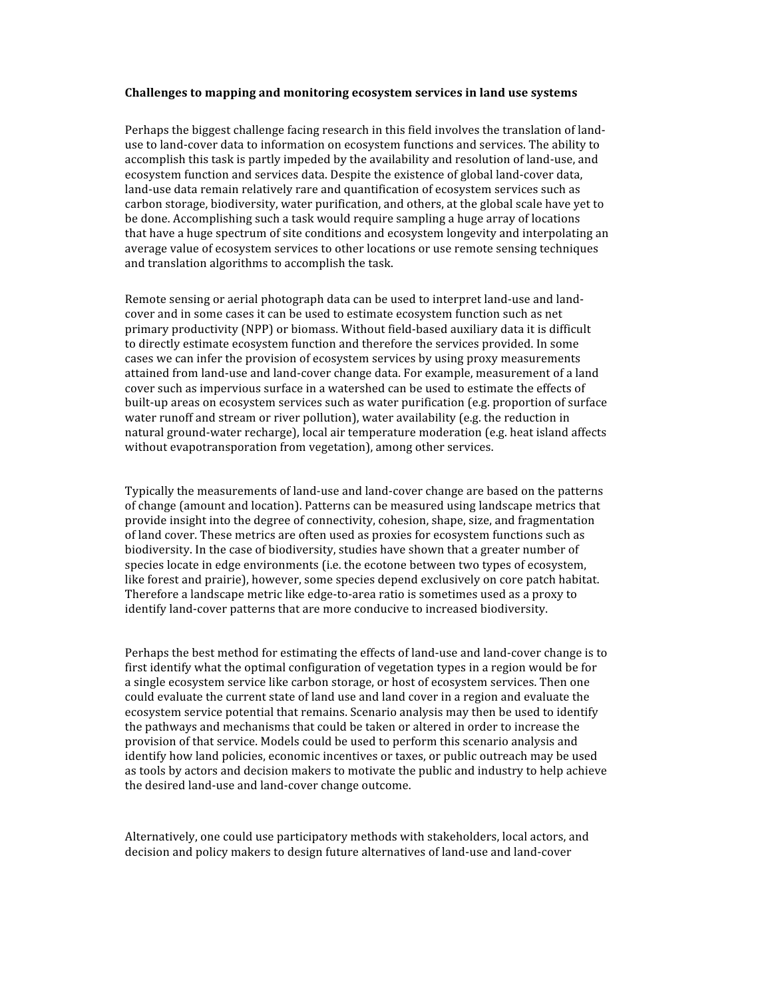#### **Challenges to mapping and monitoring ecosystem services in land use systems**

Perhaps the biggest challenge facing research in this field involves the translation of land‐ use to land‐cover data to information on ecosystem functions and services. The ability to accomplish this task is partly impeded by the availability and resolution of land‐use, and ecosystem function and services data. Despite the existence of global land‐cover data, land-use data remain relatively rare and quantification of ecosystem services such as carbon storage, biodiversity, water purification, and others, at the global scale have yet to be done. Accomplishing such a task would require sampling a huge array of locations that have a huge spectrum of site conditions and ecosystem longevity and interpolating an average value of ecosystem services to other locations or use remote sensing techniques and translation algorithms to accomplish the task.

Remote sensing or aerial photograph data can be used to interpret land‐use and land‐ cover and in some cases it can be used to estimate ecosystem function such as net primary productivity (NPP) or biomass. Without field‐based auxiliary data it is difficult to directly estimate ecosystem function and therefore the services provided. In some cases we can infer the provision of ecosystem services by using proxy measurements attained from land‐use and land‐cover change data. For example, measurement of a land cover such as impervious surface in a watershed can be used to estimate the effects of built-up areas on ecosystem services such as water purification (e.g. proportion of surface water runoff and stream or river pollution), water availability (e.g. the reduction in natural ground‐water recharge), local air temperature moderation (e.g. heat island affects without evapotransporation from vegetation), among other services.

Typically the measurements of land‐use and land‐cover change are based on the patterns of change (amount and location). Patterns can be measured using landscape metrics that provide insight into the degree of connectivity, cohesion, shape, size, and fragmentation of land cover. These metrics are often used as proxies for ecosystem functions such as biodiversity. In the case of biodiversity, studies have shown that a greater number of species locate in edge environments (i.e. the ecotone between two types of ecosystem, like forest and prairie), however, some species depend exclusively on core patch habitat. Therefore a landscape metric like edge‐to‐area ratio is sometimes used as a proxy to identify land‐cover patterns that are more conducive to increased biodiversity.

Perhaps the best method for estimating the effects of land‐use and land‐cover change is to first identify what the optimal configuration of vegetation types in a region would be for a single ecosystem service like carbon storage, or host of ecosystem services. Then one could evaluate the current state of land use and land cover in a region and evaluate the ecosystem service potential that remains. Scenario analysis may then be used to identify the pathways and mechanisms that could be taken or altered in order to increase the provision of that service. Models could be used to perform this scenario analysis and identify how land policies, economic incentives or taxes, or public outreach may be used as tools by actors and decision makers to motivate the public and industry to help achieve the desired land‐use and land‐cover change outcome.

Alternatively, one could use participatory methods with stakeholders, local actors, and decision and policy makers to design future alternatives of land-use and land-cover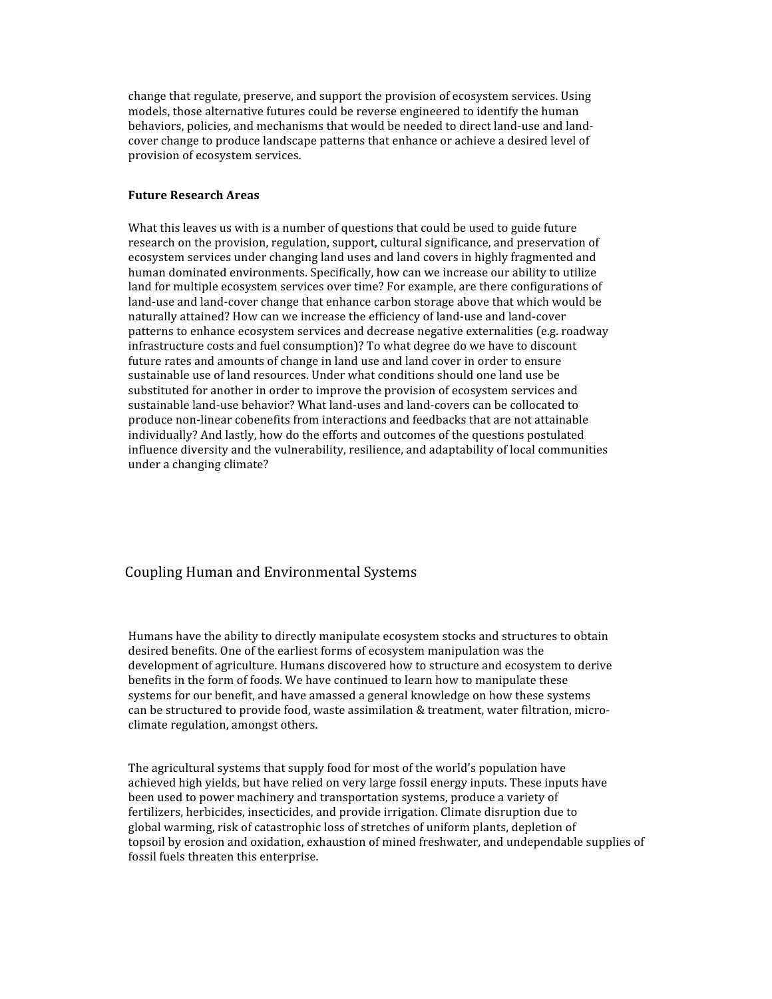change that regulate, preserve, and support the provision of ecosystem services. Using models, those alternative futures could be reverse engineered to identify the human behaviors, policies, and mechanisms that would be needed to direct land‐use and land‐ cover change to produce landscape patterns that enhance or achieve a desired level of provision of ecosystem services.

#### **Future Research Areas**

What this leaves us with is a number of questions that could be used to guide future research on the provision, regulation, support, cultural significance, and preservation of ecosystem services under changing land uses and land covers in highly fragmented and human dominated environments. Specifically, how can we increase our ability to utilize land for multiple ecosystem services over time? For example, are there configurations of land-use and land-cover change that enhance carbon storage above that which would be naturally attained? How can we increase the efficiency of land‐use and land‐cover patterns to enhance ecosystem services and decrease negative externalities (e.g. roadway infrastructure costs and fuel consumption)? To what degree do we have to discount future rates and amounts of change in land use and land cover in order to ensure sustainable use of land resources. Under what conditions should one land use be substituted for another in order to improve the provision of ecosystem services and sustainable land‐use behavior? What land‐uses and land‐covers can be collocated to produce non‐linear cobenefits from interactions and feedbacks that are not attainable individually? And lastly, how do the efforts and outcomes of the questions postulated influence diversity and the vulnerability, resilience, and adaptability of local communities under a changing climate?

### Coupling Human and Environmental Systems

Humans have the ability to directly manipulate ecosystem stocks and structures to obtain desired benefits. One of the earliest forms of ecosystem manipulation was the development of agriculture. Humans discovered how to structure and ecosystem to derive benefits in the form of foods. We have continued to learn how to manipulate these systems for our benefit, and have amassed a general knowledge on how these systems can be structured to provide food, waste assimilation & treatment, water filtration, microclimate regulation, amongst others.

The agricultural systems that supply food for most of the world's population have achieved high yields, but have relied on very large fossil energy inputs. These inputs have been used to power machinery and transportation systems, produce a variety of fertilizers, herbicides, insecticides, and provide irrigation. Climate disruption due to global warming, risk of catastrophic loss of stretches of uniform plants, depletion of topsoil by erosion and oxidation, exhaustion of mined freshwater, and undependable supplies of fossil fuels threaten this enterprise.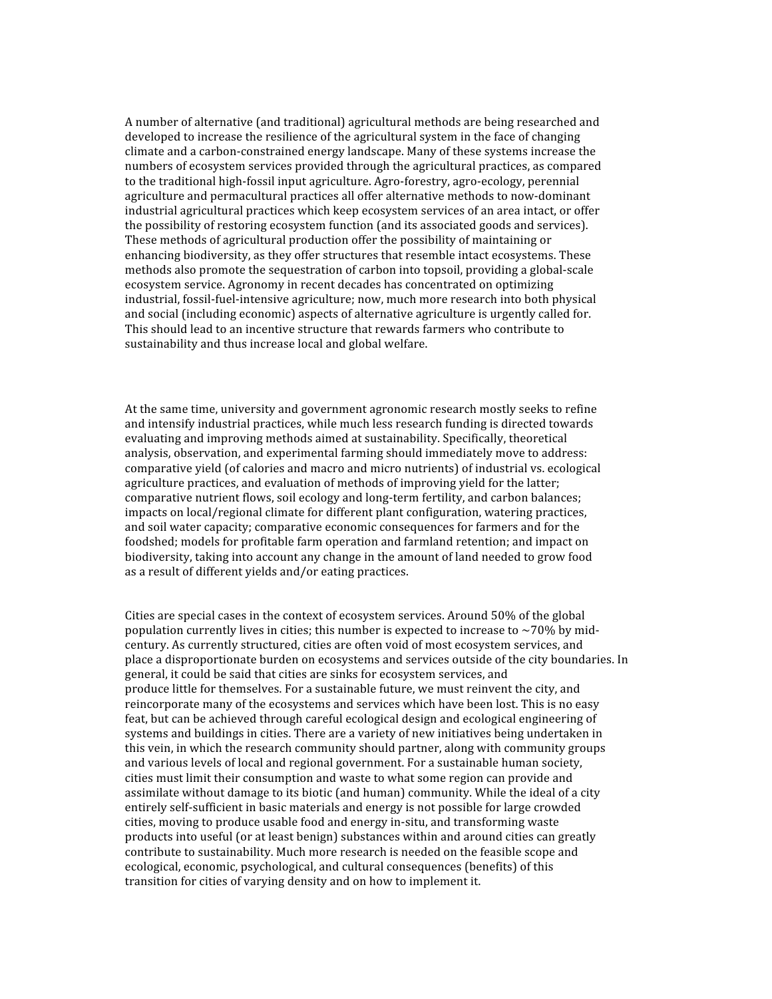A number of alternative (and traditional) agricultural methods are being researched and developed to increase the resilience of the agricultural system in the face of changing climate and a carbon‐constrained energy landscape. Many of these systems increase the numbers of ecosystem services provided through the agricultural practices, as compared to the traditional high-fossil input agriculture. Agro-forestry, agro-ecology, perennial agriculture and permacultural practices all offer alternative methods to now‐dominant industrial agricultural practices which keep ecosystem services of an area intact, or offer the possibility of restoring ecosystem function (and its associated goods and services). These methods of agricultural production offer the possibility of maintaining or enhancing biodiversity, as they offer structures that resemble intact ecosystems. These methods also promote the sequestration of carbon into topsoil, providing a global‐scale ecosystem service. Agronomy in recent decades has concentrated on optimizing industrial, fossil-fuel-intensive agriculture; now, much more research into both physical and social (including economic) aspects of alternative agriculture is urgently called for. This should lead to an incentive structure that rewards farmers who contribute to sustainability and thus increase local and global welfare.

At the same time, university and government agronomic research mostly seeks to refine and intensify industrial practices, while much less research funding is directed towards evaluating and improving methods aimed at sustainability. Specifically, theoretical analysis, observation, and experimental farming should immediately move to address: comparative yield (of calories and macro and micro nutrients) of industrial vs. ecological agriculture practices, and evaluation of methods of improving yield for the latter; comparative nutrient flows, soil ecology and long-term fertility, and carbon balances; impacts on local/regional climate for different plant configuration, watering practices, and soil water capacity; comparative economic consequences for farmers and for the foodshed; models for profitable farm operation and farmland retention; and impact on biodiversity, taking into account any change in the amount of land needed to grow food as a result of different yields and/or eating practices.

Cities are special cases in the context of ecosystem services. Around 50% of the global population currently lives in cities; this number is expected to increase to  $\sim$ 70% by midcentury. As currently structured, cities are often void of most ecosystem services, and place a disproportionate burden on ecosystems and services outside of the city boundaries. In general, it could be said that cities are sinks for ecosystem services, and produce little for themselves. For a sustainable future, we must reinvent the city, and reincorporate many of the ecosystems and services which have been lost. This is no easy feat, but can be achieved through careful ecological design and ecological engineering of systems and buildings in cities. There are a variety of new initiatives being undertaken in this vein, in which the research community should partner, along with community groups and various levels of local and regional government. For a sustainable human society, cities must limit their consumption and waste to what some region can provide and assimilate without damage to its biotic (and human) community. While the ideal of a city entirely self-sufficient in basic materials and energy is not possible for large crowded cities, moving to produce usable food and energy in‐situ, and transforming waste products into useful (or at least benign) substances within and around cities can greatly contribute to sustainability. Much more research is needed on the feasible scope and ecological, economic, psychological, and cultural consequences (benefits) of this transition for cities of varying density and on how to implement it.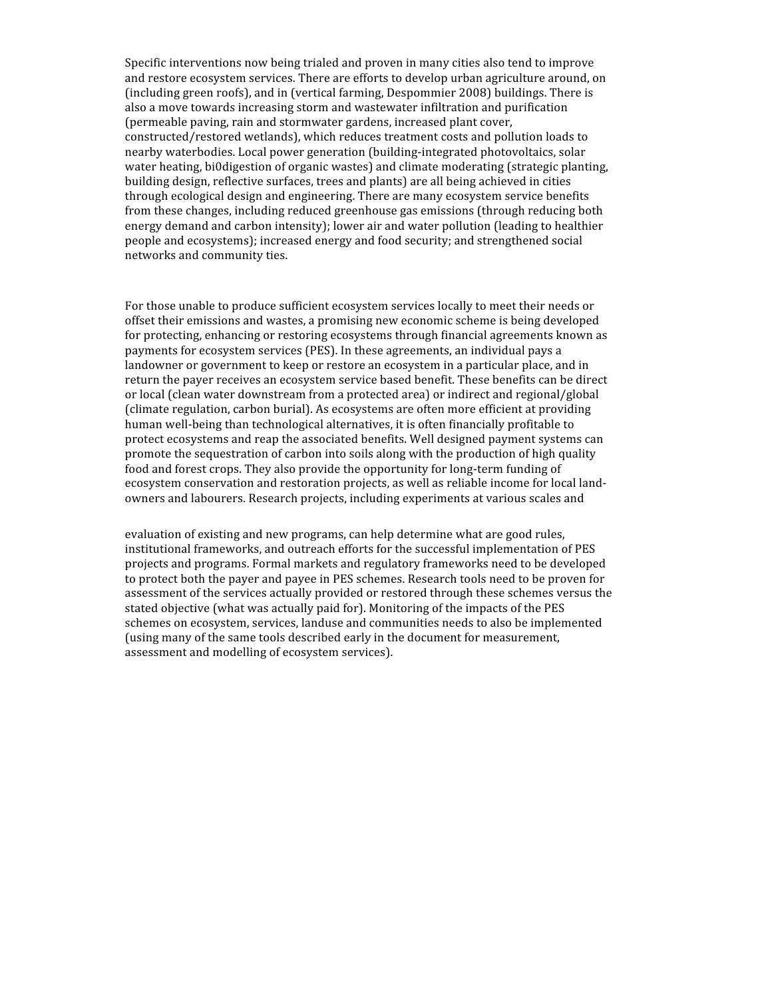Specific interventions now being trialed and proven in many cities also tend to improve and restore ecosystem services. There are efforts to develop urban agriculture around, on (including green roofs), and in (vertical farming, Despommier 2008) buildings. There is also a move towards increasing storm and wastewater infiltration and purification (permeable paving, rain and stormwater gardens, increased plant cover, constructed/restored wetlands), which reduces treatment costs and pollution loads to nearby waterbodies. Local power generation (building‐integrated photovoltaics, solar water heating, bi0digestion of organic wastes) and climate moderating (strategic planting, building design, reflective surfaces, trees and plants) are all being achieved in cities through ecological design and engineering. There are many ecosystem service benefits from these changes, including reduced greenhouse gas emissions (through reducing both energy demand and carbon intensity); lower air and water pollution (leading to healthier people and ecosystems); increased energy and food security; and strengthened social networks and community ties.

For those unable to produce sufficient ecosystem services locally to meet their needs or offset their emissions and wastes, a promising new economic scheme is being developed for protecting, enhancing or restoring ecosystems through financial agreements known as payments for ecosystem services (PES). In these agreements, an individual pays a landowner or government to keep or restore an ecosystem in a particular place, and in return the payer receives an ecosystem service based benefit. These benefits can be direct or local (clean water downstream from a protected area) or indirect and regional/global (climate regulation, carbon burial). As ecosystems are often more efficient at providing human well‐being than technological alternatives, it is often financially profitable to protect ecosystems and reap the associated benefits. Well designed payment systems can promote the sequestration of carbon into soils along with the production of high quality food and forest crops. They also provide the opportunity for long-term funding of ecosystem conservation and restoration projects, as well as reliable income for local land‐ owners and labourers. Research projects, including experiments at various scales and

evaluation of existing and new programs, can help determine what are good rules, institutional frameworks, and outreach efforts for the successful implementation of PES projects and programs. Formal markets and regulatory frameworks need to be developed to protect both the payer and payee in PES schemes. Research tools need to be proven for assessment of the services actually provided or restored through these schemes versus the stated objective (what was actually paid for). Monitoring of the impacts of the PES schemes on ecosystem, services, landuse and communities needs to also be implemented (using many of the same tools described early in the document for measurement, assessment and modelling of ecosystem services).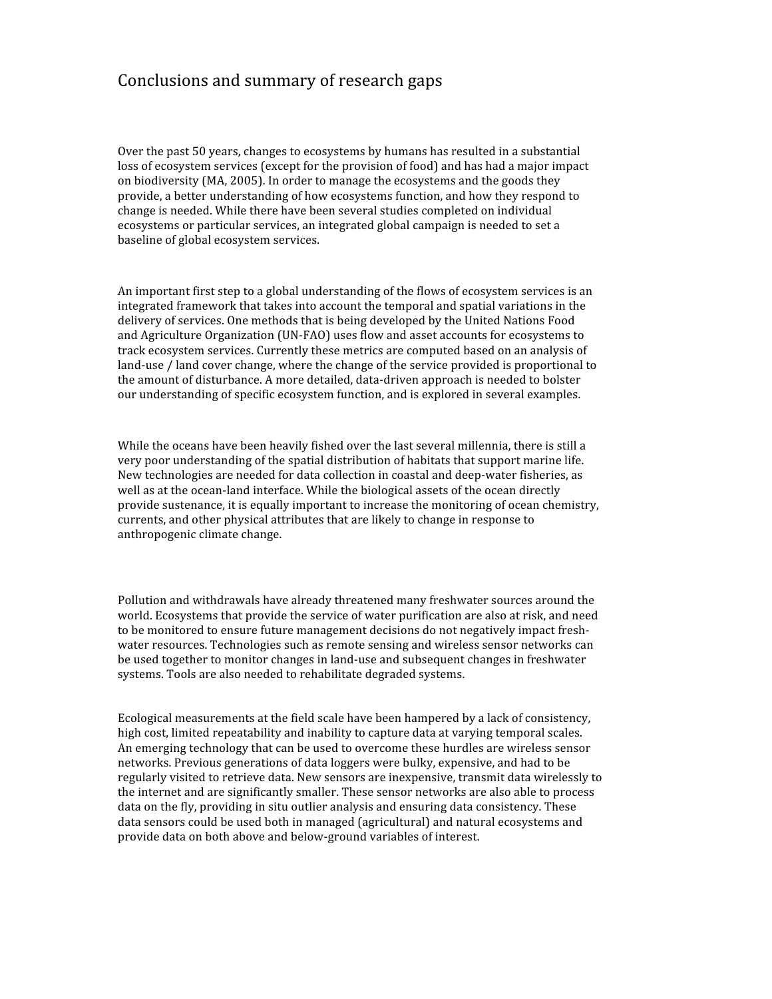# Conclusions and summary of research gaps

Over the past 50 years, changes to ecosystems by humans has resulted in a substantial loss of ecosystem services (except for the provision of food) and has had a major impact on biodiversity (MA, 2005). In order to manage the ecosystems and the goods they provide, a better understanding of how ecosystems function, and how they respond to change is needed. While there have been several studies completed on individual ecosystems or particular services, an integrated global campaign is needed to set a baseline of global ecosystem services.

An important first step to a global understanding of the flows of ecosystem services is an integrated framework that takes into account the temporal and spatial variations in the delivery of services. One methods that is being developed by the United Nations Food and Agriculture Organization (UN‐FAO) uses flow and asset accounts for ecosystems to track ecosystem services. Currently these metrics are computed based on an analysis of land-use / land cover change, where the change of the service provided is proportional to the amount of disturbance. A more detailed, data‐driven approach is needed to bolster our understanding of specific ecosystem function, and is explored in several examples.

While the oceans have been heavily fished over the last several millennia, there is still a very poor understanding of the spatial distribution of habitats that support marine life. New technologies are needed for data collection in coastal and deep‐water fisheries, as well as at the ocean-land interface. While the biological assets of the ocean directly provide sustenance, it is equally important to increase the monitoring of ocean chemistry, currents, and other physical attributes that are likely to change in response to anthropogenic climate change.

Pollution and withdrawals have already threatened many freshwater sources around the world. Ecosystems that provide the service of water purification are also at risk, and need to be monitored to ensure future management decisions do not negatively impact fresh‐ water resources. Technologies such as remote sensing and wireless sensor networks can be used together to monitor changes in land‐use and subsequent changes in freshwater systems. Tools are also needed to rehabilitate degraded systems.

Ecological measurements at the field scale have been hampered by a lack of consistency, high cost, limited repeatability and inability to capture data at varying temporal scales. An emerging technology that can be used to overcome these hurdles are wireless sensor networks. Previous generations of data loggers were bulky, expensive, and had to be regularly visited to retrieve data. New sensors are inexpensive, transmit data wirelessly to the internet and are significantly smaller. These sensor networks are also able to process data on the fly, providing in situ outlier analysis and ensuring data consistency. These data sensors could be used both in managed (agricultural) and natural ecosystems and provide data on both above and below‐ground variables of interest.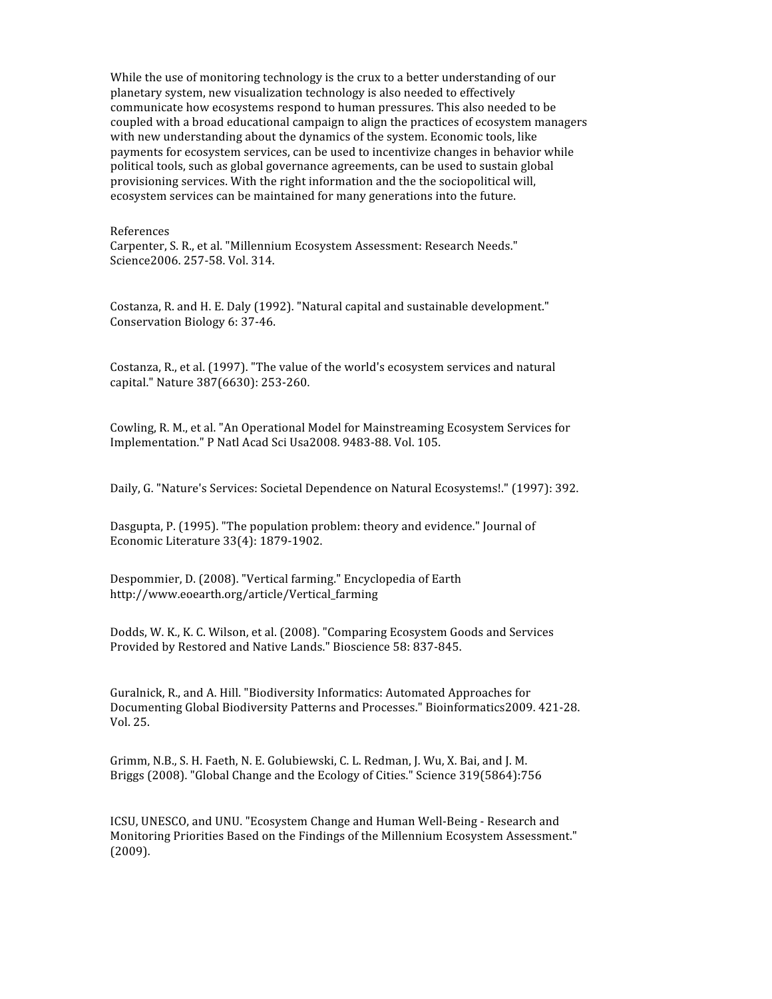While the use of monitoring technology is the crux to a better understanding of our planetary system, new visualization technology is also needed to effectively communicate how ecosystems respond to human pressures. This also needed to be coupled with a broad educational campaign to align the practices of ecosystem managers with new understanding about the dynamics of the system. Economic tools, like payments for ecosystem services, can be used to incentivize changes in behavior while political tools, such as global governance agreements, can be used to sustain global provisioning services. With the right information and the the sociopolitical will, ecosystem services can be maintained for many generations into the future.

References

Carpenter, S. R., et al. "Millennium Ecosystem Assessment: Research Needs." Science2006. 257‐58. Vol. 314.

Costanza, R. and H. E. Daly (1992). "Natural capital and sustainable development." Conservation Biology 6: 37‐46.

Costanza, R., et al. (1997). "The value of the world's ecosystem services and natural capital." Nature 387(6630): 253‐260.

Cowling, R. M., et al. "An Operational Model for Mainstreaming Ecosystem Services for Implementation." P Natl Acad Sci Usa2008. 9483‐88. Vol. 105.

Daily, G. "Nature's Services: Societal Dependence on Natural Ecosystems!." (1997): 392.

Dasgupta, P. (1995). "The population problem: theory and evidence." Journal of Economic Literature 33(4): 1879‐1902.

Despommier, D. (2008). "Vertical farming." Encyclopedia of Earth http://www.eoearth.org/article/Vertical\_farming

Dodds, W. K., K. C. Wilson, et al. (2008). "Comparing Ecosystem Goods and Services Provided by Restored and Native Lands." Bioscience 58: 837‐845.

Guralnick, R., and A. Hill. "Biodiversity Informatics: Automated Approaches for Documenting Global Biodiversity Patterns and Processes." Bioinformatics2009. 421‐28. Vol. 25.

Grimm, N.B., S. H. Faeth, N. E. Golubiewski, C. L. Redman, J. Wu, X. Bai, and J. M. Briggs (2008). "Global Change and the Ecology of Cities." Science 319(5864):756

ICSU, UNESCO, and UNU. "Ecosystem Change and Human Well‐Being ‐ Research and Monitoring Priorities Based on the Findings of the Millennium Ecosystem Assessment." (2009).